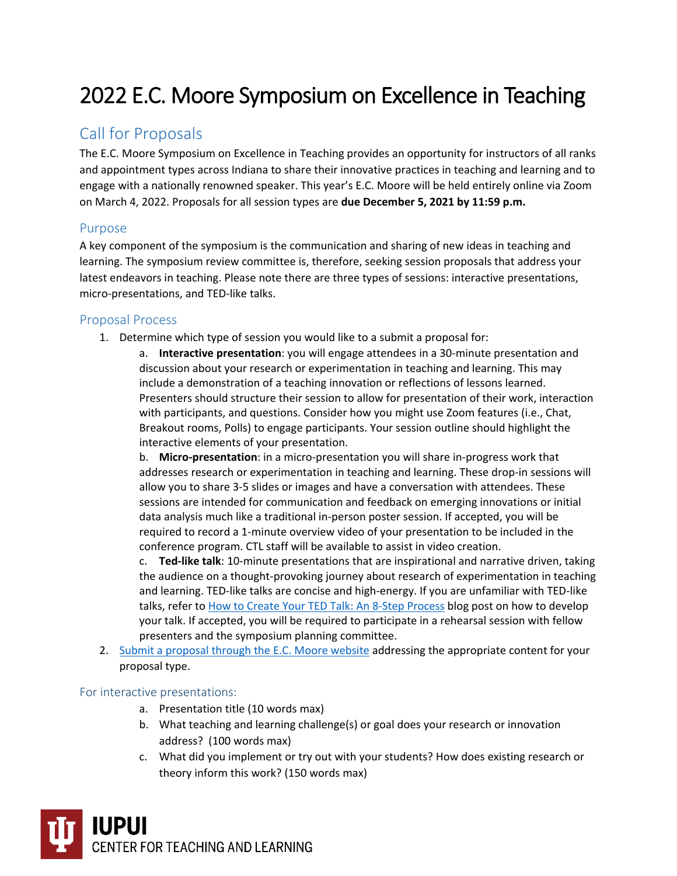# 2022 E.C. Moore Symposium on Excellence in Teaching

# Call for Proposals

The E.C. Moore Symposium on Excellence in Teaching provides an opportunity for instructors of all ranks and appointment types across Indiana to share their innovative practices in teaching and learning and to engage with a nationally renowned speaker. This year's E.C. Moore will be held entirely online via Zoom on March 4, 2022. Proposals for all session types are **due December 5, 2021 by 11:59 p.m.**

# Purpose

A key component of the symposium is the communication and sharing of new ideas in teaching and learning. The symposium review committee is, therefore, seeking session proposals that address your latest endeavors in teaching. Please note there are three types of sessions: interactive presentations, micro-presentations, and TED-like talks.

## Proposal Process

1. Determine which type of session you would like to a submit a proposal for:

a. **Interactive presentation**: you will engage attendees in a 30-minute presentation and discussion about your research or experimentation in teaching and learning. This may include a demonstration of a teaching innovation or reflections of lessons learned. Presenters should structure their session to allow for presentation of their work, interaction with participants, and questions. Consider how you might use Zoom features (i.e., Chat, Breakout rooms, Polls) to engage participants. Your session outline should highlight the interactive elements of your presentation.

b. **Micro-presentation**: in a micro-presentation you will share in-progress work that addresses research or experimentation in teaching and learning. These drop-in sessions will allow you to share 3-5 slides or images and have a conversation with attendees. These sessions are intended for communication and feedback on emerging innovations or initial data analysis much like a traditional in-person poster session. If accepted, you will be required to record a 1-minute overview video of your presentation to be included in the conference program. CTL staff will be available to assist in video creation.

c. **Ted-like talk**: 10-minute presentations that are inspirational and narrative driven, taking the audience on a thought-provoking journey about research of experimentation in teaching and learning. TED-like talks are concise and high-energy. If you are unfamiliar with TED-like talks, refer to [How to Create Your TED Talk: An 8-Step Process](https://speakupforsuccess.com/create-a-ted-talk/) blog post on how to develop your talk. If accepted, you will be required to participate in a rehearsal session with fellow presenters and the symposium planning committee.

2. Submit a proposal [through the E.C. Moore website](https://ecmoore.iupui.edu/cfp) addressing the appropriate content for your proposal type.

#### For interactive presentations:

- a. Presentation title (10 words max)
- b. What teaching and learning challenge(s) or goal does your research or innovation address? (100 words max)
- c. What did you implement or try out with your students? How does existing research or theory inform this work? (150 words max)

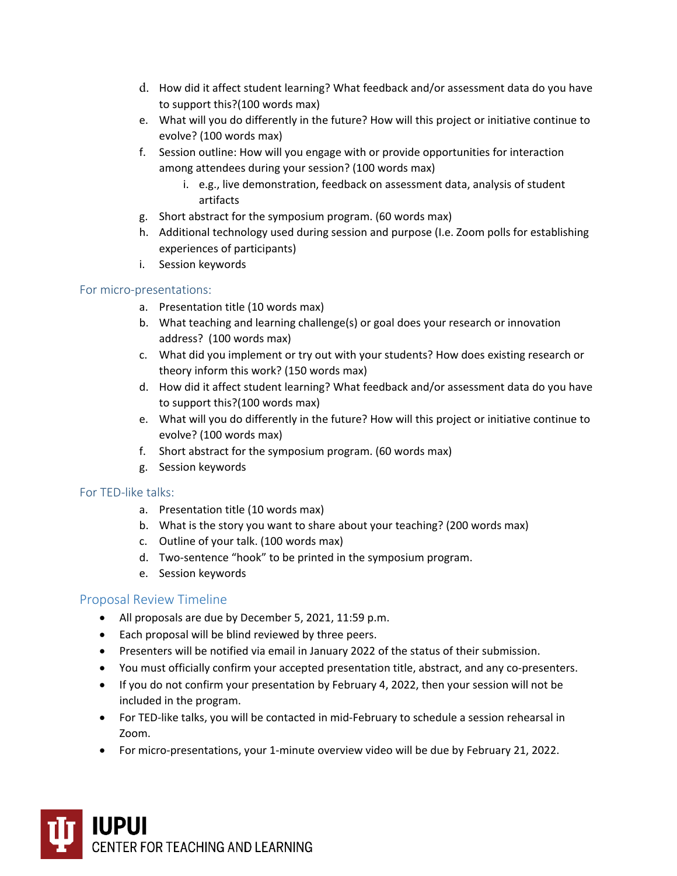- d. How did it affect student learning? What feedback and/or assessment data do you have to support this?(100 words max)
- e. What will you do differently in the future? How will this project or initiative continue to evolve? (100 words max)
- f. Session outline: How will you engage with or provide opportunities for interaction among attendees during your session? (100 words max)
	- i. e.g., live demonstration, feedback on assessment data, analysis of student artifacts
- g. Short abstract for the symposium program. (60 words max)
- h. Additional technology used during session and purpose (I.e. Zoom polls for establishing experiences of participants)
- i. Session keywords

#### For micro-presentations:

- a. Presentation title (10 words max)
- b. What teaching and learning challenge(s) or goal does your research or innovation address? (100 words max)
- c. What did you implement or try out with your students? How does existing research or theory inform this work? (150 words max)
- d. How did it affect student learning? What feedback and/or assessment data do you have to support this?(100 words max)
- e. What will you do differently in the future? How will this project or initiative continue to evolve? (100 words max)
- f. Short abstract for the symposium program. (60 words max)
- g. Session keywords

#### For TED-like talks:

- a. Presentation title (10 words max)
- b. What is the story you want to share about your teaching? (200 words max)
- c. Outline of your talk. (100 words max)
- d. Two-sentence "hook" to be printed in the symposium program.
- e. Session keywords

## Proposal Review Timeline

- All proposals are due by December 5, 2021, 11:59 p.m.
- Each proposal will be blind reviewed by three peers.
- Presenters will be notified via email in January 2022 of the status of their submission.
- You must officially confirm your accepted presentation title, abstract, and any co-presenters.
- If you do not confirm your presentation by February 4, 2022, then your session will not be included in the program.
- For TED-like talks, you will be contacted in mid-February to schedule a session rehearsal in Zoom.
- For micro-presentations, your 1-minute overview video will be due by February 21, 2022.